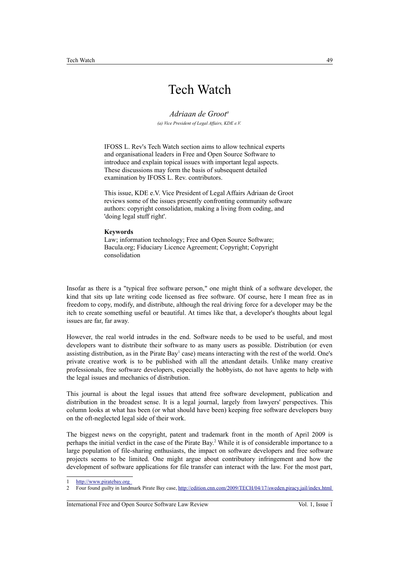# Tech Watch

### *Adriaan de Groot<sup>a</sup>*

*(a) Vice President of Legal Affairs, KDE e.V.*

IFOSS L. Rev's Tech Watch section aims to allow technical experts and organisational leaders in Free and Open Source Software to introduce and explain topical issues with important legal aspects. These discussions may form the basis of subsequent detailed examination by IFOSS L. Rev. contributors.

This issue, KDE e.V. Vice President of Legal Affairs Adriaan de Groot reviews some of the issues presently confronting community software authors: copyright consolidation, making a living from coding, and 'doing legal stuff right'.

#### **Keywords**

Law; information technology; Free and Open Source Software; Bacula.org; Fiduciary Licence Agreement; Copyright; Copyright consolidation

Insofar as there is a "typical free software person," one might think of a software developer, the kind that sits up late writing code licensed as free software. Of course, here I mean free as in freedom to copy, modify, and distribute, although the real driving force for a developer may be the itch to create something useful or beautiful. At times like that, a developer's thoughts about legal issues are far, far away.

However, the real world intrudes in the end. Software needs to be used to be useful, and most developers want to distribute their software to as many users as possible. Distribution (or even assisting distribution, as in the Pirate Bay<sup>[1](#page-0-0)</sup> case) means interacting with the rest of the world. One's private creative work is to be published with all the attendant details. Unlike many creative professionals, free software developers, especially the hobbyists, do not have agents to help with the legal issues and mechanics of distribution.

This journal is about the legal issues that attend free software development, publication and distribution in the broadest sense. It is a legal journal, largely from lawyers' perspectives. This column looks at what has been (or what should have been) keeping free software developers busy on the oft-neglected legal side of their work.

The biggest news on the copyright, patent and trademark front in the month of April 2009 is perhaps the initial verdict in the case of the Pirate Bay.<sup>[2](#page-0-1)</sup> While it is of considerable importance to a large population of file-sharing enthusiasts, the impact on software developers and free software projects seems to be limited. One might argue about contributory infringement and how the development of software applications for file transfer can interact with the law. For the most part,

International Free and Open Source Software Law Review Vol. 1, Issue 1

<span id="page-0-0"></span><sup>1</sup> http://www.piratebay.org<br>2 Four found guilty in landr

<span id="page-0-1"></span><sup>2</sup> Four found guilty in landmark Pirate Bay case,<http://edition.cnn.com/2009/TECH/04/17/sweden.piracy.jail/index.html>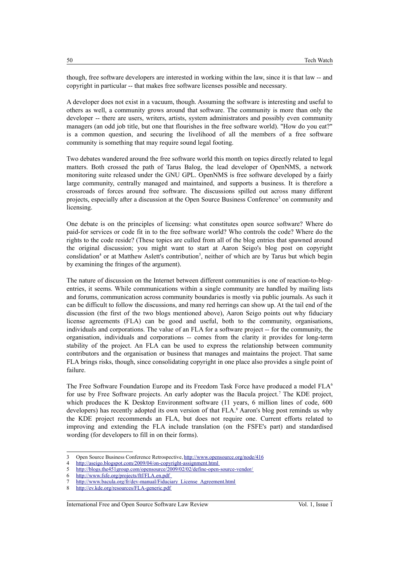though, free software developers are interested in working within the law, since it is that law -- and copyright in particular -- that makes free software licenses possible and necessary.

A developer does not exist in a vacuum, though. Assuming the software is interesting and useful to others as well, a community grows around that software. The community is more than only the developer -- there are users, writers, artists, system administrators and possibly even community managers (an odd job title, but one that flourishes in the free software world). "How do you eat?" is a common question, and securing the livelihood of all the members of a free software community is something that may require sound legal footing.

Two debates wandered around the free software world this month on topics directly related to legal matters. Both crossed the path of Tarus Balog, the lead developer of OpenNMS, a network monitoring suite released under the GNU GPL. OpenNMS is free software developed by a fairly large community, centrally managed and maintained, and supports a business. It is therefore a crossroads of forces around free software. The discussions spilled out across many different projects, especially after a discussion at the Open Source Business Conference<sup>[3](#page-1-0)</sup> on community and licensing.

One debate is on the principles of licensing: what constitutes open source software? Where do paid-for services or code fit in to the free software world? Who controls the code? Where do the rights to the code reside? (These topics are culled from all of the blog entries that spawned around the original discussion; you might want to start at Aaron Seigo's blog post on copyright conslidation<sup>[4](#page-1-1)</sup> or at Matthew Aslett's contribution<sup>[5](#page-1-2)</sup>, neither of which are by Tarus but which begin by examining the fringes of the argument).

The nature of discussion on the Internet between different communities is one of reaction-to-blogentries, it seems. While communications within a single community are handled by mailing lists and forums, communication across community boundaries is mostly via public journals. As such it can be difficult to follow the discussions, and many red herrings can show up. At the tail end of the discussion (the first of the two blogs mentioned above), Aaron Seigo points out why fiduciary license agreements (FLA) can be good and useful, both to the community, organisations, individuals and corporations. The value of an FLA for a software project -- for the community, the organisation, individuals and corporations -- comes from the clarity it provides for long-term stability of the project. An FLA can be used to express the relationship between community contributors and the organisation or business that manages and maintains the project. That same FLA brings risks, though, since consolidating copyright in one place also provides a single point of failure.

The Free Software Foundation Europe and its Freedom Task Force have produced a model FLA<sup>[6](#page-1-3)</sup> for use by Free Software projects. An early adopter was the Bacula project.<sup>[7](#page-1-4)</sup> The KDE project, which produces the K Desktop Environment software (11 years, 6 million lines of code, 600 developers) has recently adopted its own version of that FLA.<sup>[8](#page-1-5)</sup> Aaron's blog post reminds us why the KDE project recommends an FLA, but does not require one. Current efforts related to improving and extending the FLA include translation (on the FSFE's part) and standardised wording (for developers to fill in on their forms).

#### International Free and Open Source Software Law Review Vol. 1, Issue 1

<span id="page-1-0"></span><sup>3</sup> Open Source Business Conference Retrospective,<http://www.opensource.org/node/416>

<span id="page-1-1"></span><sup>4</sup><http://aseigo.blogspot.com/2009/04/on-copyright-assignment.html>

<span id="page-1-2"></span><sup>5</sup> <http://blogs.the451group.com/opensource/2009/02/02/define-open-source-vendor/>

<span id="page-1-3"></span><sup>6</sup> <http://www.fsfe.org/projects/ftf/FLA.en.pdf>

<span id="page-1-4"></span>[http://www.bacula.org/fr/dev-manual/Fiduciary\\_License\\_Agreement.html](http://www.bacula.org/fr/dev-manual/Fiduciary_License_Agreement.html)

<span id="page-1-5"></span><sup>8</sup> <http://ev.kde.org/resources/FLA-generic.pdf>